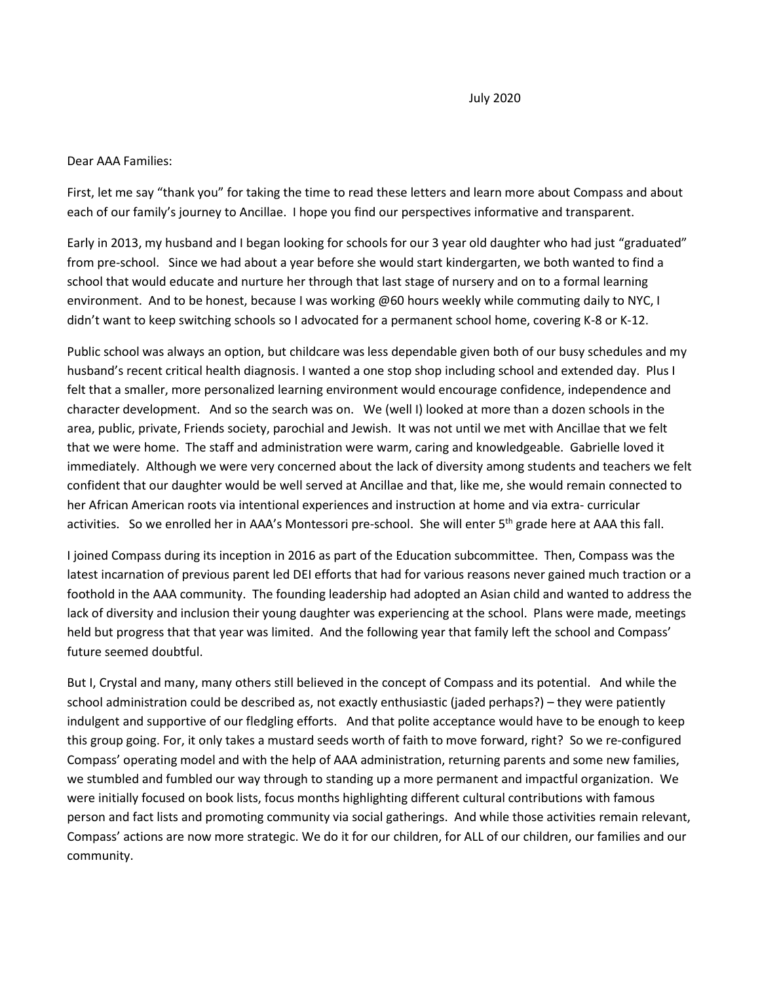## Dear AAA Families:

First, let me say "thank you" for taking the time to read these letters and learn more about Compass and about each of our family's journey to Ancillae. I hope you find our perspectives informative and transparent.

Early in 2013, my husband and I began looking for schools for our 3 year old daughter who had just "graduated" from pre-school. Since we had about a year before she would start kindergarten, we both wanted to find a school that would educate and nurture her through that last stage of nursery and on to a formal learning environment. And to be honest, because I was working @60 hours weekly while commuting daily to NYC, I didn't want to keep switching schools so I advocated for a permanent school home, covering K-8 or K-12.

Public school was always an option, but childcare was less dependable given both of our busy schedules and my husband's recent critical health diagnosis. I wanted a one stop shop including school and extended day. Plus I felt that a smaller, more personalized learning environment would encourage confidence, independence and character development. And so the search was on. We (well I) looked at more than a dozen schools in the area, public, private, Friends society, parochial and Jewish. It was not until we met with Ancillae that we felt that we were home. The staff and administration were warm, caring and knowledgeable. Gabrielle loved it immediately. Although we were very concerned about the lack of diversity among students and teachers we felt confident that our daughter would be well served at Ancillae and that, like me, she would remain connected to her African American roots via intentional experiences and instruction at home and via extra- curricular activities. So we enrolled her in AAA's Montessori pre-school. She will enter 5<sup>th</sup> grade here at AAA this fall.

I joined Compass during its inception in 2016 as part of the Education subcommittee. Then, Compass was the latest incarnation of previous parent led DEI efforts that had for various reasons never gained much traction or a foothold in the AAA community. The founding leadership had adopted an Asian child and wanted to address the lack of diversity and inclusion their young daughter was experiencing at the school. Plans were made, meetings held but progress that that year was limited. And the following year that family left the school and Compass' future seemed doubtful.

But I, Crystal and many, many others still believed in the concept of Compass and its potential. And while the school administration could be described as, not exactly enthusiastic (jaded perhaps?) – they were patiently indulgent and supportive of our fledgling efforts. And that polite acceptance would have to be enough to keep this group going. For, it only takes a mustard seeds worth of faith to move forward, right? So we re-configured Compass' operating model and with the help of AAA administration, returning parents and some new families, we stumbled and fumbled our way through to standing up a more permanent and impactful organization. We were initially focused on book lists, focus months highlighting different cultural contributions with famous person and fact lists and promoting community via social gatherings. And while those activities remain relevant, Compass' actions are now more strategic. We do it for our children, for ALL of our children, our families and our community.